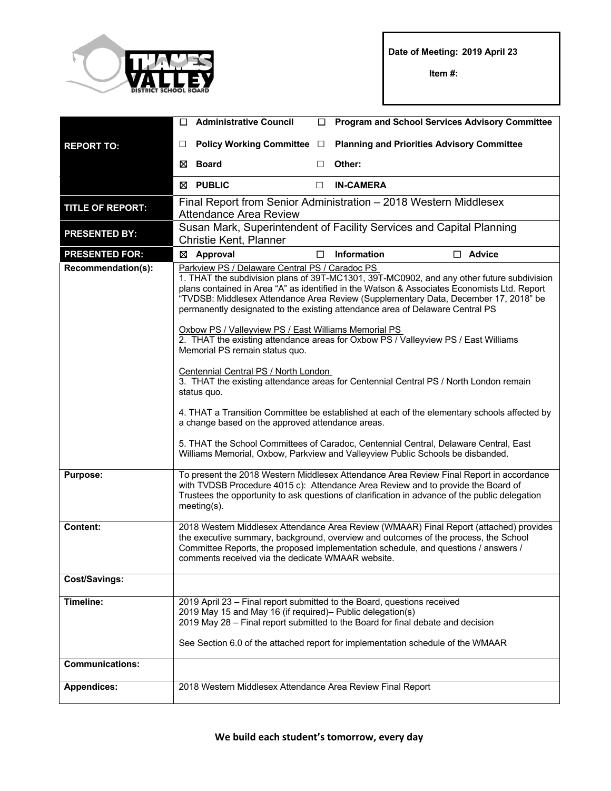

**Date of Meeting: 2019 April 23**

**Item #:**

|                         | $\Box$                                                                                                                                                                                                                                                                                                                                                                                                                                                                                                                                                                                                                                                                                                                                                                                                                                                                                                                                                                                                                                                                          | <b>Administrative Council</b>                                                                     | □ | <b>Program and School Services Advisory Committee</b>                                                                                                                                                                                         |  |  |
|-------------------------|---------------------------------------------------------------------------------------------------------------------------------------------------------------------------------------------------------------------------------------------------------------------------------------------------------------------------------------------------------------------------------------------------------------------------------------------------------------------------------------------------------------------------------------------------------------------------------------------------------------------------------------------------------------------------------------------------------------------------------------------------------------------------------------------------------------------------------------------------------------------------------------------------------------------------------------------------------------------------------------------------------------------------------------------------------------------------------|---------------------------------------------------------------------------------------------------|---|-----------------------------------------------------------------------------------------------------------------------------------------------------------------------------------------------------------------------------------------------|--|--|
| <b>REPORT TO:</b>       | $\Box$                                                                                                                                                                                                                                                                                                                                                                                                                                                                                                                                                                                                                                                                                                                                                                                                                                                                                                                                                                                                                                                                          | Policy Working Committee □                                                                        |   | <b>Planning and Priorities Advisory Committee</b>                                                                                                                                                                                             |  |  |
|                         | ⊠                                                                                                                                                                                                                                                                                                                                                                                                                                                                                                                                                                                                                                                                                                                                                                                                                                                                                                                                                                                                                                                                               | <b>Board</b>                                                                                      | □ | Other:                                                                                                                                                                                                                                        |  |  |
|                         |                                                                                                                                                                                                                                                                                                                                                                                                                                                                                                                                                                                                                                                                                                                                                                                                                                                                                                                                                                                                                                                                                 | ⊠ PUBLIC                                                                                          | □ | <b>IN-CAMERA</b>                                                                                                                                                                                                                              |  |  |
| <b>TITLE OF REPORT:</b> |                                                                                                                                                                                                                                                                                                                                                                                                                                                                                                                                                                                                                                                                                                                                                                                                                                                                                                                                                                                                                                                                                 | Final Report from Senior Administration – 2018 Western Middlesex<br><b>Attendance Area Review</b> |   |                                                                                                                                                                                                                                               |  |  |
| <b>PRESENTED BY:</b>    | Susan Mark, Superintendent of Facility Services and Capital Planning<br>Christie Kent, Planner                                                                                                                                                                                                                                                                                                                                                                                                                                                                                                                                                                                                                                                                                                                                                                                                                                                                                                                                                                                  |                                                                                                   |   |                                                                                                                                                                                                                                               |  |  |
| <b>PRESENTED FOR:</b>   | ⊠                                                                                                                                                                                                                                                                                                                                                                                                                                                                                                                                                                                                                                                                                                                                                                                                                                                                                                                                                                                                                                                                               | <b>Approval</b>                                                                                   | □ | Information<br>$\Box$ Advice                                                                                                                                                                                                                  |  |  |
| Recommendation(s):      | Parkview PS / Delaware Central PS / Caradoc PS<br>1. THAT the subdivision plans of 39T-MC1301, 39T-MC0902, and any other future subdivision<br>plans contained in Area "A" as identified in the Watson & Associates Economists Ltd. Report<br>"TVDSB: Middlesex Attendance Area Review (Supplementary Data, December 17, 2018" be<br>permanently designated to the existing attendance area of Delaware Central PS<br>Oxbow PS / Valleyview PS / East Williams Memorial PS<br>2. THAT the existing attendance areas for Oxbow PS / Valleyview PS / East Williams<br>Memorial PS remain status quo.<br>Centennial Central PS / North London<br>3. THAT the existing attendance areas for Centennial Central PS / North London remain<br>status quo.<br>4. THAT a Transition Committee be established at each of the elementary schools affected by<br>a change based on the approved attendance areas.<br>5. THAT the School Committees of Caradoc, Centennial Central, Delaware Central, East<br>Williams Memorial, Oxbow, Parkview and Valleyview Public Schools be disbanded. |                                                                                                   |   |                                                                                                                                                                                                                                               |  |  |
| <b>Purpose:</b>         | To present the 2018 Western Middlesex Attendance Area Review Final Report in accordance<br>with TVDSB Procedure 4015 c): Attendance Area Review and to provide the Board of<br>Trustees the opportunity to ask questions of clarification in advance of the public delegation<br>$meeting(s)$ .                                                                                                                                                                                                                                                                                                                                                                                                                                                                                                                                                                                                                                                                                                                                                                                 |                                                                                                   |   |                                                                                                                                                                                                                                               |  |  |
| Content:                | 2018 Western Middlesex Attendance Area Review (WMAAR) Final Report (attached) provides<br>the executive summary, background, overview and outcomes of the process, the School<br>Committee Reports, the proposed implementation schedule, and questions / answers /<br>comments received via the dedicate WMAAR website.                                                                                                                                                                                                                                                                                                                                                                                                                                                                                                                                                                                                                                                                                                                                                        |                                                                                                   |   |                                                                                                                                                                                                                                               |  |  |
| <b>Cost/Savings:</b>    |                                                                                                                                                                                                                                                                                                                                                                                                                                                                                                                                                                                                                                                                                                                                                                                                                                                                                                                                                                                                                                                                                 |                                                                                                   |   |                                                                                                                                                                                                                                               |  |  |
| Timeline:               |                                                                                                                                                                                                                                                                                                                                                                                                                                                                                                                                                                                                                                                                                                                                                                                                                                                                                                                                                                                                                                                                                 | 2019 May 15 and May 16 (if required) – Public delegation(s)                                       |   | 2019 April 23 - Final report submitted to the Board, questions received<br>2019 May 28 - Final report submitted to the Board for final debate and decision<br>See Section 6.0 of the attached report for implementation schedule of the WMAAR |  |  |
| <b>Communications:</b>  |                                                                                                                                                                                                                                                                                                                                                                                                                                                                                                                                                                                                                                                                                                                                                                                                                                                                                                                                                                                                                                                                                 |                                                                                                   |   |                                                                                                                                                                                                                                               |  |  |
| <b>Appendices:</b>      |                                                                                                                                                                                                                                                                                                                                                                                                                                                                                                                                                                                                                                                                                                                                                                                                                                                                                                                                                                                                                                                                                 | 2018 Western Middlesex Attendance Area Review Final Report                                        |   |                                                                                                                                                                                                                                               |  |  |